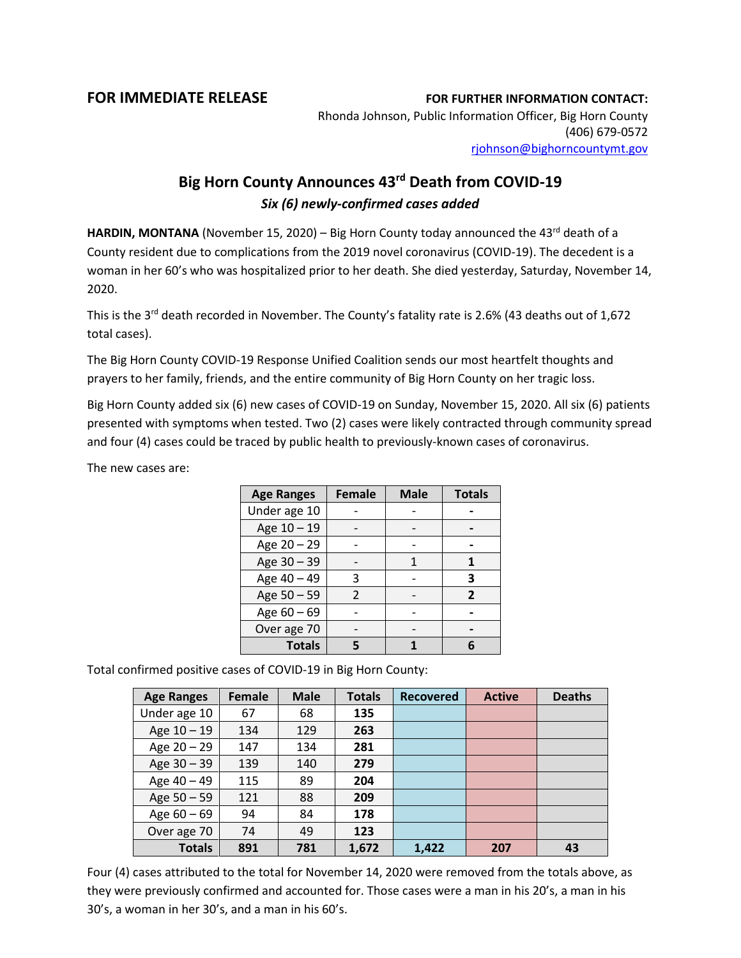## **FOR IMMEDIATE RELEASE FOR FURTHER INFORMATION CONTACT:**

Rhonda Johnson, Public Information Officer, Big Horn County (406) 679-0572 [rjohnson@bighorncountymt.gov](mailto:rjohnson@bighorncountymt.gov)

## **Big Horn County Announces 43rd Death from COVID-19** *Six (6) newly-confirmed cases added*

HARDIN, MONTANA (November 15, 2020) – Big Horn County today announced the 43<sup>rd</sup> death of a County resident due to complications from the 2019 novel coronavirus (COVID-19). The decedent is a woman in her 60's who was hospitalized prior to her death. She died yesterday, Saturday, November 14, 2020.

This is the 3<sup>rd</sup> death recorded in November. The County's fatality rate is 2.6% (43 deaths out of 1,672 total cases).

The Big Horn County COVID-19 Response Unified Coalition sends our most heartfelt thoughts and prayers to her family, friends, and the entire community of Big Horn County on her tragic loss.

Big Horn County added six (6) new cases of COVID-19 on Sunday, November 15, 2020. All six (6) patients presented with symptoms when tested. Two (2) cases were likely contracted through community spread and four (4) cases could be traced by public health to previously-known cases of coronavirus.

The new cases are:

| <b>Age Ranges</b> | <b>Female</b> | <b>Male</b> | <b>Totals</b>  |
|-------------------|---------------|-------------|----------------|
| Under age 10      |               |             |                |
| Age 10 - 19       |               |             |                |
| Age 20 - 29       |               |             |                |
| Age 30 - 39       |               |             |                |
| Age 40 - 49       | 3             |             | 3              |
| Age 50 - 59       | $\mathcal{P}$ |             | $\overline{2}$ |
| Age 60 - 69       |               |             |                |
| Over age 70       |               |             |                |
| <b>Totals</b>     |               |             |                |

Total confirmed positive cases of COVID-19 in Big Horn County:

| <b>Age Ranges</b> | <b>Female</b> | <b>Male</b> | <b>Totals</b> | <b>Recovered</b> | <b>Active</b> | <b>Deaths</b> |
|-------------------|---------------|-------------|---------------|------------------|---------------|---------------|
| Under age 10      | 67            | 68          | 135           |                  |               |               |
| Age $10 - 19$     | 134           | 129         | 263           |                  |               |               |
| Age 20 - 29       | 147           | 134         | 281           |                  |               |               |
| Age 30 - 39       | 139           | 140         | 279           |                  |               |               |
| Age 40 - 49       | 115           | 89          | 204           |                  |               |               |
| Age 50 - 59       | 121           | 88          | 209           |                  |               |               |
| Age $60 - 69$     | 94            | 84          | 178           |                  |               |               |
| Over age 70       | 74            | 49          | 123           |                  |               |               |
| <b>Totals</b>     | 891           | 781         | 1,672         | 1,422            | 207           | 43            |

Four (4) cases attributed to the total for November 14, 2020 were removed from the totals above, as they were previously confirmed and accounted for. Those cases were a man in his 20's, a man in his 30's, a woman in her 30's, and a man in his 60's.